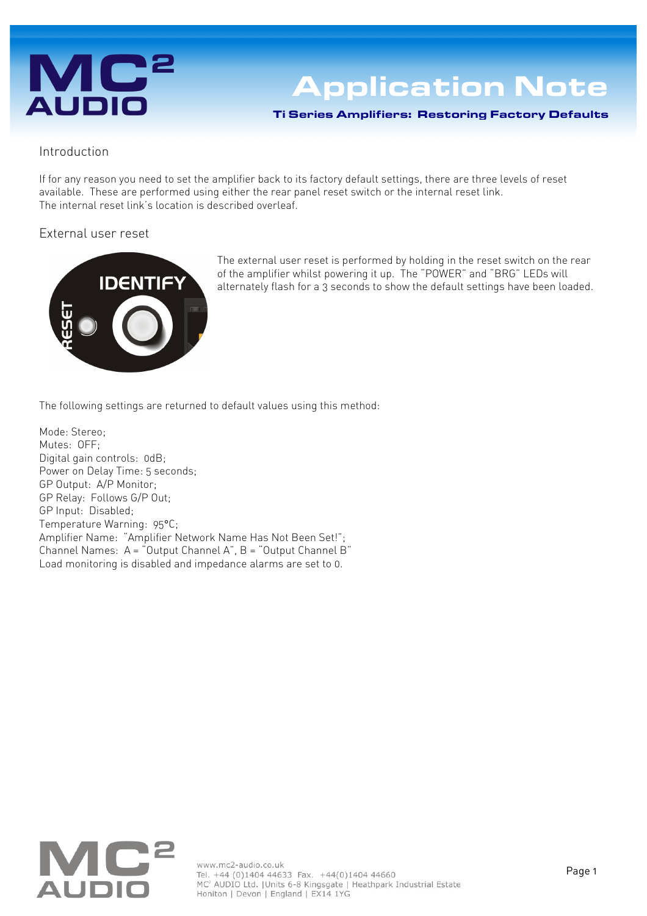# **AUDIO**

## **Application Note**

Ti Series Amplifiers: Restoring Factory Defaults

#### Introduction

If for any reason you need to set the amplifier back to its factory default settings, there are three levels of reset available. These are performed using either the rear panel reset switch or the internal reset link. The internal reset link's location is described overleaf.

#### External user reset



The external user reset is performed by holding in the reset switch on the rear of the amplifier whilst powering it up. The "POWER" and "BRG" LEDs will alternately flash for a 3 seconds to show the default settings have been loaded.

The following settings are returned to default values using this method:

Mode: Stereo; Mutes: OFF; Digital gain controls: 0dB; Power on Delay Time: 5 seconds; GP Output: A/P Monitor; GP Relay: Follows G/P Out; GP Input: Disabled; Temperature Warning: 95°C; Amplifier Name: "Amplifier Network Name Has Not Been Set!"; Channel Names: A = "Output Channel A", B = "Output Channel B" Load monitoring is disabled and impedance alarms are set to 0.